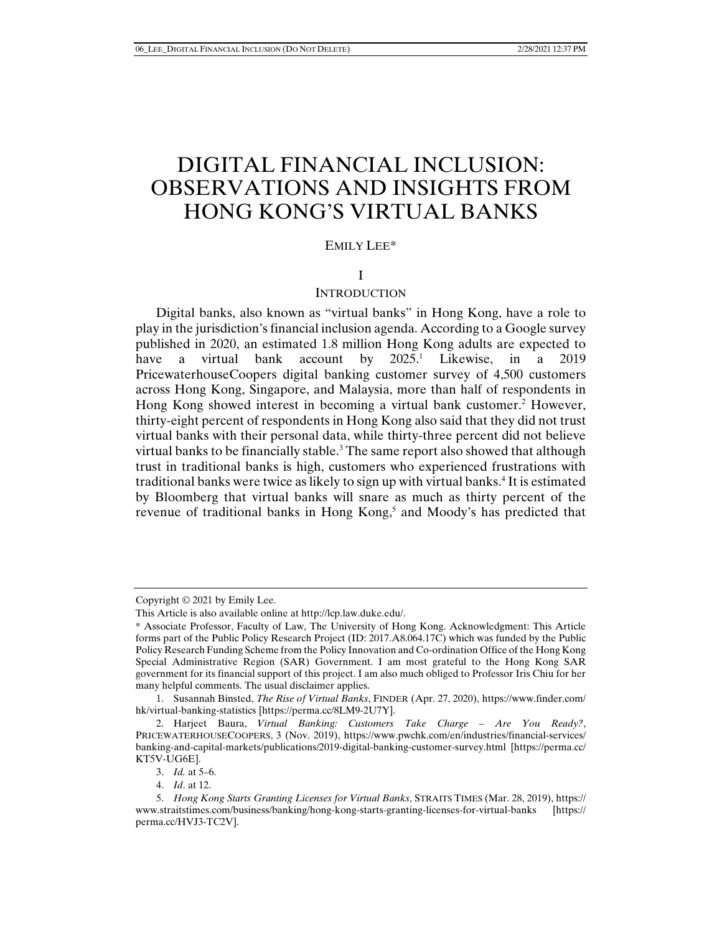# DIGITAL FINANCIAL INCLUSION: OBSERVATIONS AND INSIGHTS FROM HONG KONG'S VIRTUAL BANKS

# EMILY LEE\*

# I

#### **INTRODUCTION**

Digital banks, also known as "virtual banks" in Hong Kong, have a role to play in the jurisdiction's financial inclusion agenda. According to a Google survey published in 2020, an estimated 1.8 million Hong Kong adults are expected to have a virtual bank account by 2025.<sup>1</sup> Likewise, in a 2019 PricewaterhouseCoopers digital banking customer survey of 4,500 customers across Hong Kong, Singapore, and Malaysia, more than half of respondents in Hong Kong showed interest in becoming a virtual bank customer.<sup>2</sup> However, thirty-eight percent of respondents in Hong Kong also said that they did not trust virtual banks with their personal data, while thirty-three percent did not believe virtual banks to be financially stable.<sup>3</sup> The same report also showed that although trust in traditional banks is high, customers who experienced frustrations with traditional banks were twice as likely to sign up with virtual banks.<sup>4</sup> It is estimated by Bloomberg that virtual banks will snare as much as thirty percent of the revenue of traditional banks in Hong Kong,<sup>5</sup> and Moody's has predicted that

Copyright © 2021 by Emily Lee.

This Article is also available online at http://lcp.law.duke.edu/.

<sup>\*</sup> Associate Professor, Faculty of Law, The University of Hong Kong. Acknowledgment: This Article forms part of the Public Policy Research Project (ID: 2017.A8.064.17C) which was funded by the Public Policy Research Funding Scheme from the Policy Innovation and Co-ordination Office of the Hong Kong Special Administrative Region (SAR) Government. I am most grateful to the Hong Kong SAR government for its financial support of this project. I am also much obliged to Professor Iris Chiu for her many helpful comments. The usual disclaimer applies.

 <sup>1.</sup> Susannah Binsted, *The Rise of Virtual Banks*, FINDER (Apr. 27, 2020), https://www.finder.com/ hk/virtual-banking-statistics [https://perma.cc/8LM9-2U7Y].

 <sup>2.</sup> Harjeet Baura, *Virtual Banking: Customers Take Charge – Are You Ready?*, PRICEWATERHOUSECOOPERS, 3 (Nov. 2019), https://www.pwchk.com/en/industries/financial-services/ banking-and-capital-markets/publications/2019-digital-banking-customer-survey.html [https://perma.cc/ KT5V-UG6E].

 <sup>3.</sup> *Id.* at 5–6.

 <sup>4.</sup> *Id*. at 12.

 <sup>5.</sup> *Hong Kong Starts Granting Licenses for Virtual Banks*, STRAITS TIMES (Mar. 28, 2019), https:// www.straitstimes.com/business/banking/hong-kong-starts-granting-licenses-for-virtual-banks [https:// perma.cc/HVJ3-TC2V].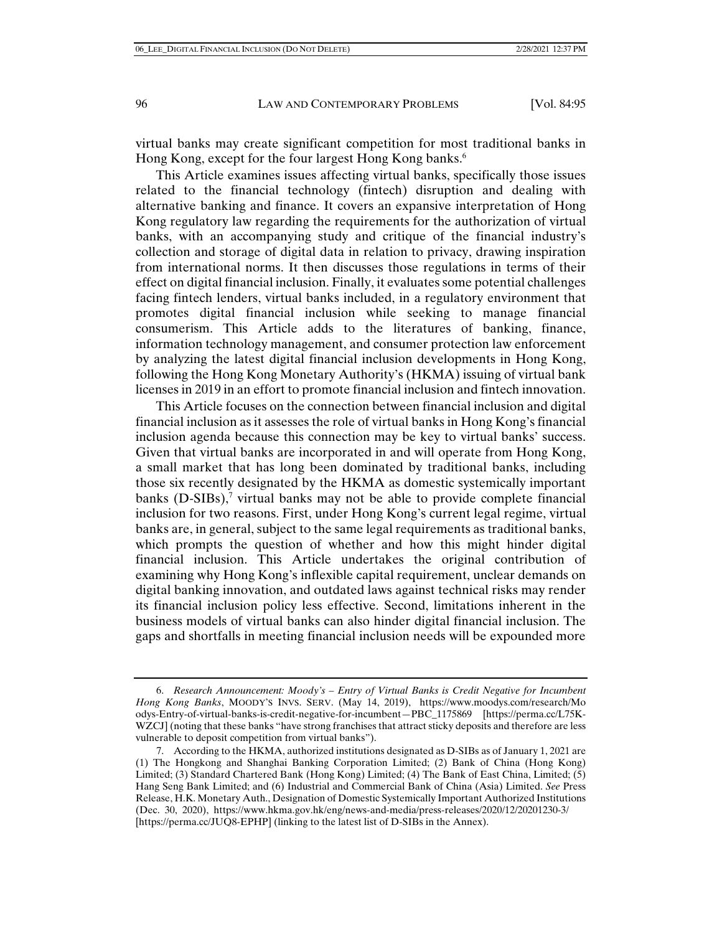virtual banks may create significant competition for most traditional banks in Hong Kong, except for the four largest Hong Kong banks.<sup>6</sup>

This Article examines issues affecting virtual banks, specifically those issues related to the financial technology (fintech) disruption and dealing with alternative banking and finance. It covers an expansive interpretation of Hong Kong regulatory law regarding the requirements for the authorization of virtual banks, with an accompanying study and critique of the financial industry's collection and storage of digital data in relation to privacy, drawing inspiration from international norms. It then discusses those regulations in terms of their effect on digital financial inclusion. Finally, it evaluates some potential challenges facing fintech lenders, virtual banks included, in a regulatory environment that promotes digital financial inclusion while seeking to manage financial consumerism. This Article adds to the literatures of banking, finance, information technology management, and consumer protection law enforcement by analyzing the latest digital financial inclusion developments in Hong Kong, following the Hong Kong Monetary Authority's (HKMA) issuing of virtual bank licenses in 2019 in an effort to promote financial inclusion and fintech innovation.

This Article focuses on the connection between financial inclusion and digital financial inclusion as it assesses the role of virtual banks in Hong Kong's financial inclusion agenda because this connection may be key to virtual banks' success. Given that virtual banks are incorporated in and will operate from Hong Kong, a small market that has long been dominated by traditional banks, including those six recently designated by the HKMA as domestic systemically important banks (D-SIBs),<sup>7</sup> virtual banks may not be able to provide complete financial inclusion for two reasons. First, under Hong Kong's current legal regime, virtual banks are, in general, subject to the same legal requirements as traditional banks, which prompts the question of whether and how this might hinder digital financial inclusion. This Article undertakes the original contribution of examining why Hong Kong's inflexible capital requirement, unclear demands on digital banking innovation, and outdated laws against technical risks may render its financial inclusion policy less effective. Second, limitations inherent in the business models of virtual banks can also hinder digital financial inclusion. The gaps and shortfalls in meeting financial inclusion needs will be expounded more

 <sup>6.</sup> *Research Announcement: Moody's – Entry of Virtual Banks is Credit Negative for Incumbent Hong Kong Banks*, MOODY'S INVS. SERV. (May 14, 2019), https://www.moodys.com/research/Mo odys-Entry-of-virtual-banks-is-credit-negative-for-incumbent—PBC\_1175869 [https://perma.cc/L75K-WZCJ] (noting that these banks "have strong franchises that attract sticky deposits and therefore are less vulnerable to deposit competition from virtual banks").

 <sup>7.</sup> According to the HKMA, authorized institutions designated as D-SIBs as of January 1, 2021 are (1) The Hongkong and Shanghai Banking Corporation Limited; (2) Bank of China (Hong Kong) Limited; (3) Standard Chartered Bank (Hong Kong) Limited; (4) The Bank of East China, Limited; (5) Hang Seng Bank Limited; and (6) Industrial and Commercial Bank of China (Asia) Limited. *See* Press Release, H.K. Monetary Auth., Designation of Domestic Systemically Important Authorized Institutions (Dec. 30, 2020), https://www.hkma.gov.hk/eng/news-and-media/press-releases/2020/12/20201230-3/ [https://perma.cc/JUQ8-EPHP] (linking to the latest list of D-SIBs in the Annex).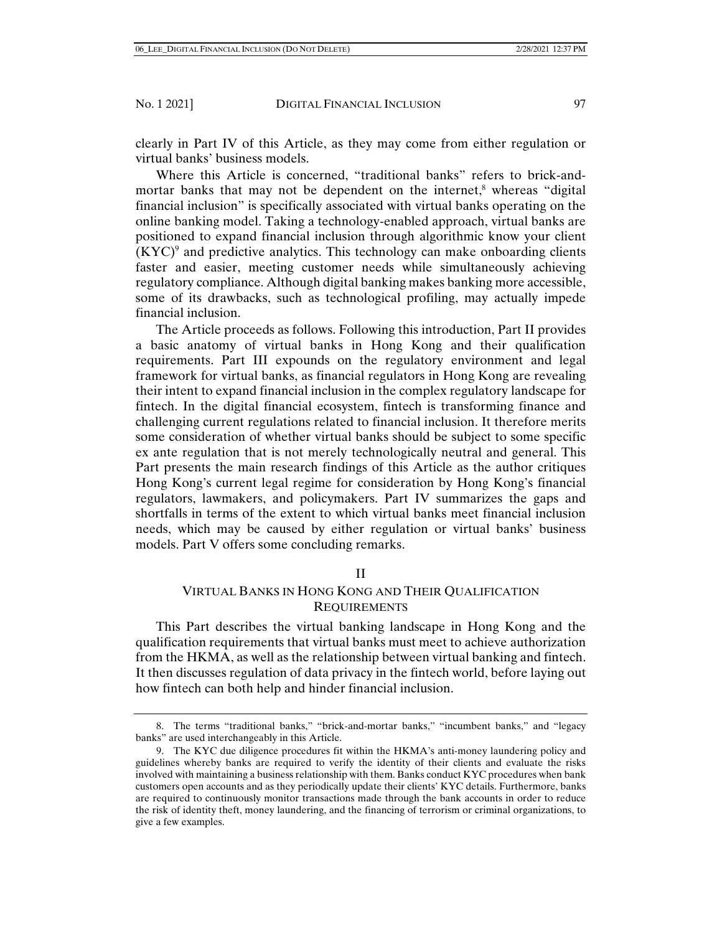clearly in Part IV of this Article, as they may come from either regulation or virtual banks' business models.

Where this Article is concerned, "traditional banks" refers to brick-andmortar banks that may not be dependent on the internet,<sup>8</sup> whereas "digital financial inclusion" is specifically associated with virtual banks operating on the online banking model. Taking a technology-enabled approach, virtual banks are positioned to expand financial inclusion through algorithmic know your client  $(KYC)^9$  and predictive analytics. This technology can make onboarding clients faster and easier, meeting customer needs while simultaneously achieving regulatory compliance. Although digital banking makes banking more accessible, some of its drawbacks, such as technological profiling, may actually impede financial inclusion.

The Article proceeds as follows. Following this introduction, Part II provides a basic anatomy of virtual banks in Hong Kong and their qualification requirements. Part III expounds on the regulatory environment and legal framework for virtual banks, as financial regulators in Hong Kong are revealing their intent to expand financial inclusion in the complex regulatory landscape for fintech. In the digital financial ecosystem, fintech is transforming finance and challenging current regulations related to financial inclusion. It therefore merits some consideration of whether virtual banks should be subject to some specific ex ante regulation that is not merely technologically neutral and general. This Part presents the main research findings of this Article as the author critiques Hong Kong's current legal regime for consideration by Hong Kong's financial regulators, lawmakers, and policymakers. Part IV summarizes the gaps and shortfalls in terms of the extent to which virtual banks meet financial inclusion needs, which may be caused by either regulation or virtual banks' business models. Part V offers some concluding remarks.

#### II

# VIRTUAL BANKS IN HONG KONG AND THEIR QUALIFICATION **REQUIREMENTS**

This Part describes the virtual banking landscape in Hong Kong and the qualification requirements that virtual banks must meet to achieve authorization from the HKMA, as well as the relationship between virtual banking and fintech. It then discusses regulation of data privacy in the fintech world, before laying out how fintech can both help and hinder financial inclusion.

 <sup>8.</sup> The terms "traditional banks," "brick-and-mortar banks," "incumbent banks," and "legacy banks" are used interchangeably in this Article.

 <sup>9.</sup> The KYC due diligence procedures fit within the HKMA's anti-money laundering policy and guidelines whereby banks are required to verify the identity of their clients and evaluate the risks involved with maintaining a business relationship with them. Banks conduct KYC procedures when bank customers open accounts and as they periodically update their clients' KYC details. Furthermore, banks are required to continuously monitor transactions made through the bank accounts in order to reduce the risk of identity theft, money laundering, and the financing of terrorism or criminal organizations, to give a few examples.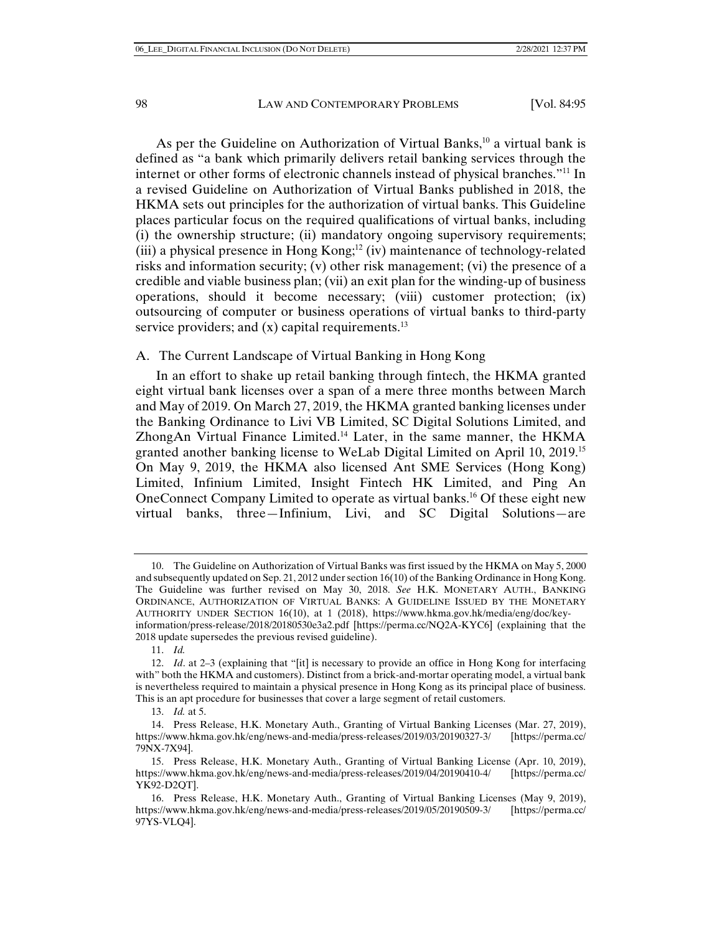As per the Guideline on Authorization of Virtual Banks, $10$  a virtual bank is defined as "a bank which primarily delivers retail banking services through the internet or other forms of electronic channels instead of physical branches."11 In a revised Guideline on Authorization of Virtual Banks published in 2018, the HKMA sets out principles for the authorization of virtual banks. This Guideline places particular focus on the required qualifications of virtual banks, including (i) the ownership structure; (ii) mandatory ongoing supervisory requirements; (iii) a physical presence in Hong Kong;<sup>12</sup> (iv) maintenance of technology-related risks and information security; (v) other risk management; (vi) the presence of a credible and viable business plan; (vii) an exit plan for the winding-up of business operations, should it become necessary; (viii) customer protection; (ix) outsourcing of computer or business operations of virtual banks to third-party service providers; and  $(x)$  capital requirements.<sup>13</sup>

### A. The Current Landscape of Virtual Banking in Hong Kong

In an effort to shake up retail banking through fintech, the HKMA granted eight virtual bank licenses over a span of a mere three months between March and May of 2019. On March 27, 2019, the HKMA granted banking licenses under the Banking Ordinance to Livi VB Limited, SC Digital Solutions Limited, and ZhongAn Virtual Finance Limited.<sup>14</sup> Later, in the same manner, the HKMA granted another banking license to WeLab Digital Limited on April 10, 2019.15 On May 9, 2019, the HKMA also licensed Ant SME Services (Hong Kong) Limited, Infinium Limited, Insight Fintech HK Limited, and Ping An OneConnect Company Limited to operate as virtual banks.16 Of these eight new virtual banks, three—Infinium, Livi, and SC Digital Solutions—are

 <sup>10.</sup> The Guideline on Authorization of Virtual Banks was first issued by the HKMA on May 5, 2000 and subsequently updated on Sep. 21, 2012 under section 16(10) of the Banking Ordinance in Hong Kong. The Guideline was further revised on May 30, 2018. *See* H.K. MONETARY AUTH., BANKING ORDINANCE, AUTHORIZATION OF VIRTUAL BANKS: A GUIDELINE ISSUED BY THE MONETARY AUTHORITY UNDER SECTION 16(10), at 1 (2018), https://www.hkma.gov.hk/media/eng/doc/keyinformation/press-release/2018/20180530e3a2.pdf [https://perma.cc/NQ2A-KYC6] (explaining that the 2018 update supersedes the previous revised guideline).

 <sup>11.</sup> *Id.*

 <sup>12.</sup> *Id*. at 2–3 (explaining that "[it] is necessary to provide an office in Hong Kong for interfacing with" both the HKMA and customers). Distinct from a brick-and-mortar operating model, a virtual bank is nevertheless required to maintain a physical presence in Hong Kong as its principal place of business. This is an apt procedure for businesses that cover a large segment of retail customers.

 <sup>13.</sup> *Id.* at 5.

 <sup>14.</sup> Press Release, H.K. Monetary Auth., Granting of Virtual Banking Licenses (Mar. 27, 2019), https://www.hkma.gov.hk/eng/news-and-media/press-releases/2019/03/20190327-3/ [https://perma.cc/ 79NX-7X94].

 <sup>15.</sup> Press Release, H.K. Monetary Auth., Granting of Virtual Banking License (Apr. 10, 2019), https://www.hkma.gov.hk/eng/news-and-media/press-releases/2019/04/20190410-4/ [https://perma.cc/ YK92-D2QT].

 <sup>16.</sup> Press Release, H.K. Monetary Auth., Granting of Virtual Banking Licenses (May 9, 2019), https://www.hkma.gov.hk/eng/news-and-media/press-releases/2019/05/20190509-3/ [https://perma.cc/ 97YS-VLQ4].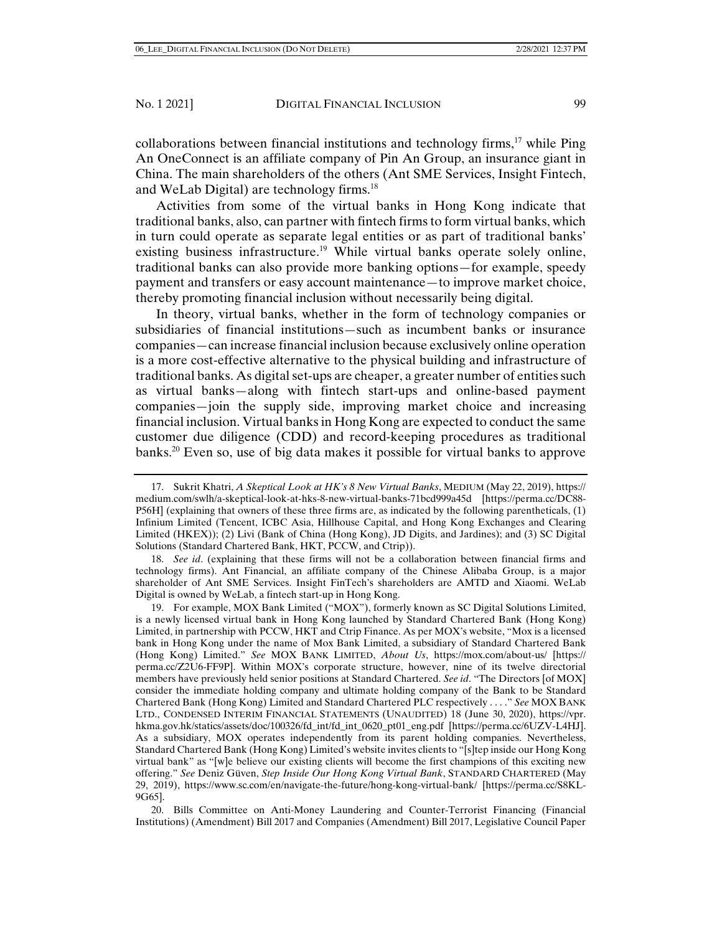collaborations between financial institutions and technology firms,  $17$  while Ping An OneConnect is an affiliate company of Pin An Group, an insurance giant in China. The main shareholders of the others (Ant SME Services, Insight Fintech, and WeLab Digital) are technology firms.<sup>18</sup>

Activities from some of the virtual banks in Hong Kong indicate that traditional banks, also, can partner with fintech firms to form virtual banks, which in turn could operate as separate legal entities or as part of traditional banks' existing business infrastructure.<sup>19</sup> While virtual banks operate solely online, traditional banks can also provide more banking options—for example, speedy payment and transfers or easy account maintenance—to improve market choice, thereby promoting financial inclusion without necessarily being digital.

In theory, virtual banks, whether in the form of technology companies or subsidiaries of financial institutions—such as incumbent banks or insurance companies—can increase financial inclusion because exclusively online operation is a more cost-effective alternative to the physical building and infrastructure of traditional banks. As digital set-ups are cheaper, a greater number of entities such as virtual banks—along with fintech start-ups and online-based payment companies—join the supply side, improving market choice and increasing financial inclusion. Virtual banks in Hong Kong are expected to conduct the same customer due diligence (CDD) and record-keeping procedures as traditional banks.20 Even so, use of big data makes it possible for virtual banks to approve

 18. *See id*. (explaining that these firms will not be a collaboration between financial firms and technology firms). Ant Financial, an affiliate company of the Chinese Alibaba Group, is a major shareholder of Ant SME Services. Insight FinTech's shareholders are AMTD and Xiaomi. WeLab Digital is owned by WeLab, a fintech start-up in Hong Kong.

 19. For example, MOX Bank Limited ("MOX"), formerly known as SC Digital Solutions Limited, is a newly licensed virtual bank in Hong Kong launched by Standard Chartered Bank (Hong Kong) Limited, in partnership with PCCW, HKT and Ctrip Finance. As per MOX's website, "Mox is a licensed bank in Hong Kong under the name of Mox Bank Limited, a subsidiary of Standard Chartered Bank (Hong Kong) Limited." *See* MOX BANK LIMITED, *About Us*, https://mox.com/about-us/ [https:// perma.cc/Z2U6-FF9P]. Within MOX's corporate structure, however, nine of its twelve directorial members have previously held senior positions at Standard Chartered. *See id*. "The Directors [of MOX] consider the immediate holding company and ultimate holding company of the Bank to be Standard Chartered Bank (Hong Kong) Limited and Standard Chartered PLC respectively . . . ." *See* MOX BANK LTD., CONDENSED INTERIM FINANCIAL STATEMENTS (UNAUDITED) 18 (June 30, 2020), https://vpr. hkma.gov.hk/statics/assets/doc/100326/fd\_int/fd\_int\_0620\_pt01\_eng.pdf [https://perma.cc/6UZV-L4HJ]. As a subsidiary, MOX operates independently from its parent holding companies. Nevertheless, Standard Chartered Bank (Hong Kong) Limited's website invites clients to "[s]tep inside our Hong Kong virtual bank" as "[w]e believe our existing clients will become the first champions of this exciting new offering." *See* Deniz Güven, *Step Inside Our Hong Kong Virtual Bank*, STANDARD CHARTERED (May 29, 2019), https://www.sc.com/en/navigate-the-future/hong-kong-virtual-bank/ [https://perma.cc/S8KL-9G65].

 20. Bills Committee on Anti-Money Laundering and Counter-Terrorist Financing (Financial Institutions) (Amendment) Bill 2017 and Companies (Amendment) Bill 2017, Legislative Council Paper

 <sup>17.</sup> Sukrit Khatri, *A Skeptical Look at HK's 8 New Virtual Banks*, MEDIUM (May 22, 2019), https:// medium.com/swlh/a-skeptical-look-at-hks-8-new-virtual-banks-71bcd999a45d [https://perma.cc/DC88- P56H] (explaining that owners of these three firms are, as indicated by the following parentheticals, (1) Infinium Limited (Tencent, ICBC Asia, Hillhouse Capital, and Hong Kong Exchanges and Clearing Limited (HKEX)); (2) Livi (Bank of China (Hong Kong), JD Digits, and Jardines); and (3) SC Digital Solutions (Standard Chartered Bank, HKT, PCCW, and Ctrip)).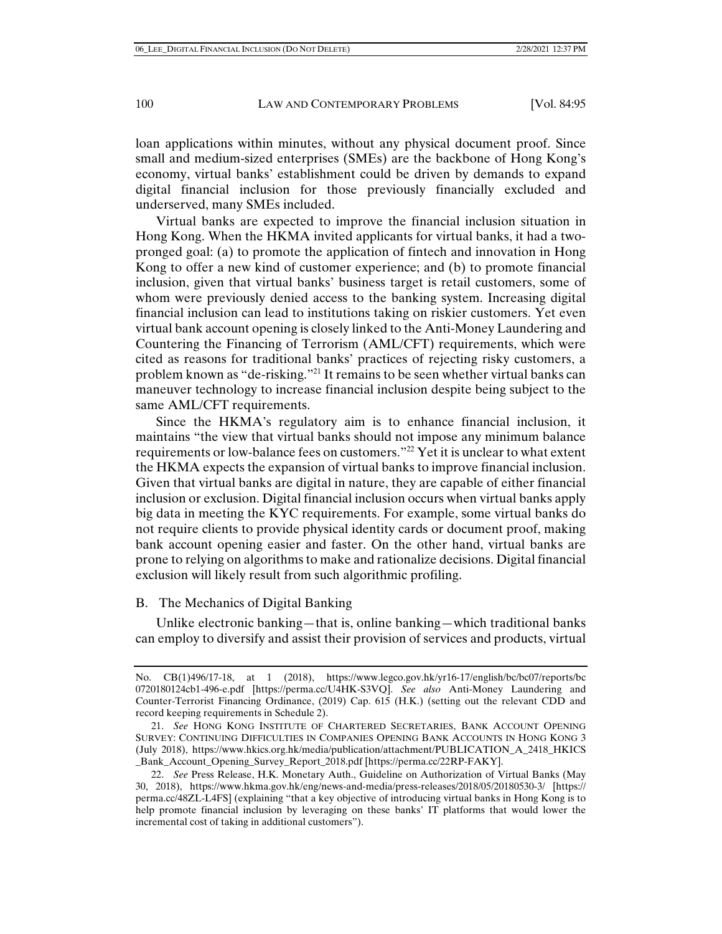loan applications within minutes, without any physical document proof. Since small and medium-sized enterprises (SMEs) are the backbone of Hong Kong's economy, virtual banks' establishment could be driven by demands to expand digital financial inclusion for those previously financially excluded and underserved, many SMEs included.

Virtual banks are expected to improve the financial inclusion situation in Hong Kong. When the HKMA invited applicants for virtual banks, it had a twopronged goal: (a) to promote the application of fintech and innovation in Hong Kong to offer a new kind of customer experience; and (b) to promote financial inclusion, given that virtual banks' business target is retail customers, some of whom were previously denied access to the banking system. Increasing digital financial inclusion can lead to institutions taking on riskier customers. Yet even virtual bank account opening is closely linked to the Anti-Money Laundering and Countering the Financing of Terrorism (AML/CFT) requirements, which were cited as reasons for traditional banks' practices of rejecting risky customers, a problem known as "de-risking."21 It remains to be seen whether virtual banks can maneuver technology to increase financial inclusion despite being subject to the same AML/CFT requirements.

Since the HKMA's regulatory aim is to enhance financial inclusion, it maintains "the view that virtual banks should not impose any minimum balance requirements or low-balance fees on customers."22 Yet it is unclear to what extent the HKMA expects the expansion of virtual banks to improve financial inclusion. Given that virtual banks are digital in nature, they are capable of either financial inclusion or exclusion. Digital financial inclusion occurs when virtual banks apply big data in meeting the KYC requirements. For example, some virtual banks do not require clients to provide physical identity cards or document proof, making bank account opening easier and faster. On the other hand, virtual banks are prone to relying on algorithms to make and rationalize decisions. Digital financial exclusion will likely result from such algorithmic profiling.

# B. The Mechanics of Digital Banking

Unlike electronic banking—that is, online banking—which traditional banks can employ to diversify and assist their provision of services and products, virtual

No. CB(1)496/17-18, at 1 (2018), https://www.legco.gov.hk/yr16-17/english/bc/bc07/reports/bc 0720180124cb1-496-e.pdf [https://perma.cc/U4HK-S3VQ]. *See also* Anti-Money Laundering and Counter-Terrorist Financing Ordinance, (2019) Cap. 615 (H.K.) (setting out the relevant CDD and record keeping requirements in Schedule 2).

 <sup>21.</sup> *See* HONG KONG INSTITUTE OF CHARTERED SECRETARIES, BANK ACCOUNT OPENING SURVEY: CONTINUING DIFFICULTIES IN COMPANIES OPENING BANK ACCOUNTS IN HONG KONG 3 (July 2018), https://www.hkics.org.hk/media/publication/attachment/PUBLICATION\_A\_2418\_HKICS \_Bank\_Account\_Opening\_Survey\_Report\_2018.pdf [https://perma.cc/22RP-FAKY].

 <sup>22.</sup> *See* Press Release, H.K. Monetary Auth., Guideline on Authorization of Virtual Banks (May 30, 2018), https://www.hkma.gov.hk/eng/news-and-media/press-releases/2018/05/20180530-3/ [https:// perma.cc/48ZL-L4FS] (explaining "that a key objective of introducing virtual banks in Hong Kong is to help promote financial inclusion by leveraging on these banks' IT platforms that would lower the incremental cost of taking in additional customers").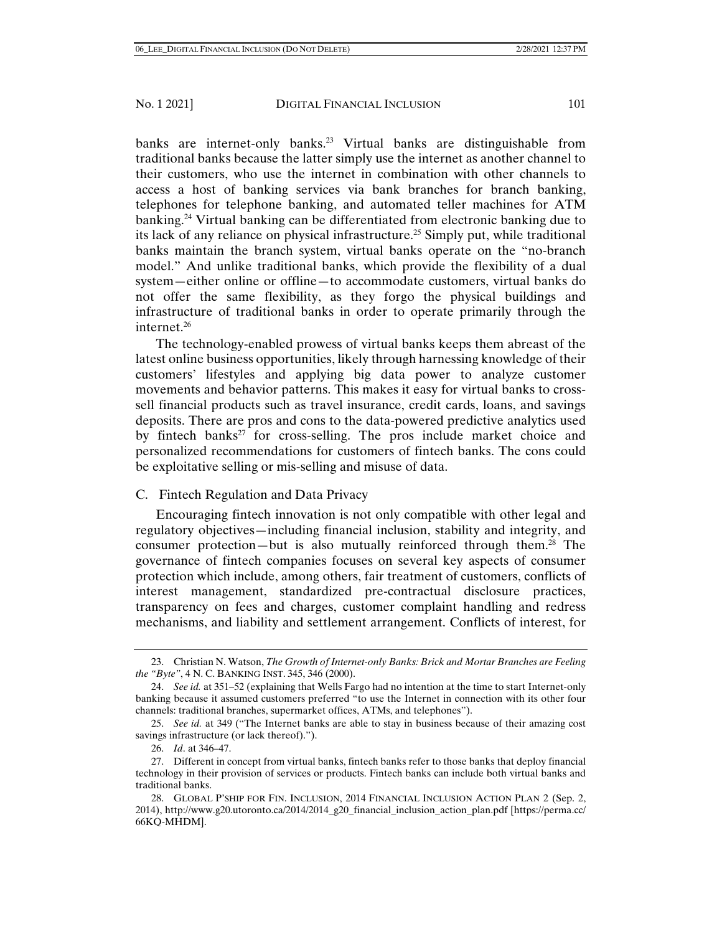banks are internet-only banks.<sup>23</sup> Virtual banks are distinguishable from traditional banks because the latter simply use the internet as another channel to their customers, who use the internet in combination with other channels to access a host of banking services via bank branches for branch banking, telephones for telephone banking, and automated teller machines for ATM banking.24 Virtual banking can be differentiated from electronic banking due to its lack of any reliance on physical infrastructure.25 Simply put, while traditional banks maintain the branch system, virtual banks operate on the "no-branch model." And unlike traditional banks, which provide the flexibility of a dual system—either online or offline—to accommodate customers, virtual banks do not offer the same flexibility, as they forgo the physical buildings and infrastructure of traditional banks in order to operate primarily through the internet.26

The technology-enabled prowess of virtual banks keeps them abreast of the latest online business opportunities, likely through harnessing knowledge of their customers' lifestyles and applying big data power to analyze customer movements and behavior patterns. This makes it easy for virtual banks to crosssell financial products such as travel insurance, credit cards, loans, and savings deposits. There are pros and cons to the data-powered predictive analytics used by fintech banks<sup>27</sup> for cross-selling. The pros include market choice and personalized recommendations for customers of fintech banks. The cons could be exploitative selling or mis-selling and misuse of data.

# C. Fintech Regulation and Data Privacy

Encouraging fintech innovation is not only compatible with other legal and regulatory objectives—including financial inclusion, stability and integrity, and consumer protection—but is also mutually reinforced through them.<sup>28</sup> The governance of fintech companies focuses on several key aspects of consumer protection which include, among others, fair treatment of customers, conflicts of interest management, standardized pre-contractual disclosure practices, transparency on fees and charges, customer complaint handling and redress mechanisms, and liability and settlement arrangement. Conflicts of interest, for

 <sup>23.</sup> Christian N. Watson, *The Growth of Internet-only Banks: Brick and Mortar Branches are Feeling the "Byte"*, 4 N. C. BANKING INST. 345, 346 (2000).

 <sup>24.</sup> *See id.* at 351–52 (explaining that Wells Fargo had no intention at the time to start Internet-only banking because it assumed customers preferred "to use the Internet in connection with its other four channels: traditional branches, supermarket offices, ATMs, and telephones").

 <sup>25.</sup> *See id.* at 349 ("The Internet banks are able to stay in business because of their amazing cost savings infrastructure (or lack thereof).").

 <sup>26.</sup> *Id*. at 346–47.

 <sup>27.</sup> Different in concept from virtual banks, fintech banks refer to those banks that deploy financial technology in their provision of services or products. Fintech banks can include both virtual banks and traditional banks.

 <sup>28.</sup> GLOBAL P'SHIP FOR FIN. INCLUSION, 2014 FINANCIAL INCLUSION ACTION PLAN 2 (Sep. 2, 2014), http://www.g20.utoronto.ca/2014/2014\_g20\_financial\_inclusion\_action\_plan.pdf [https://perma.cc/ 66KQ-MHDM].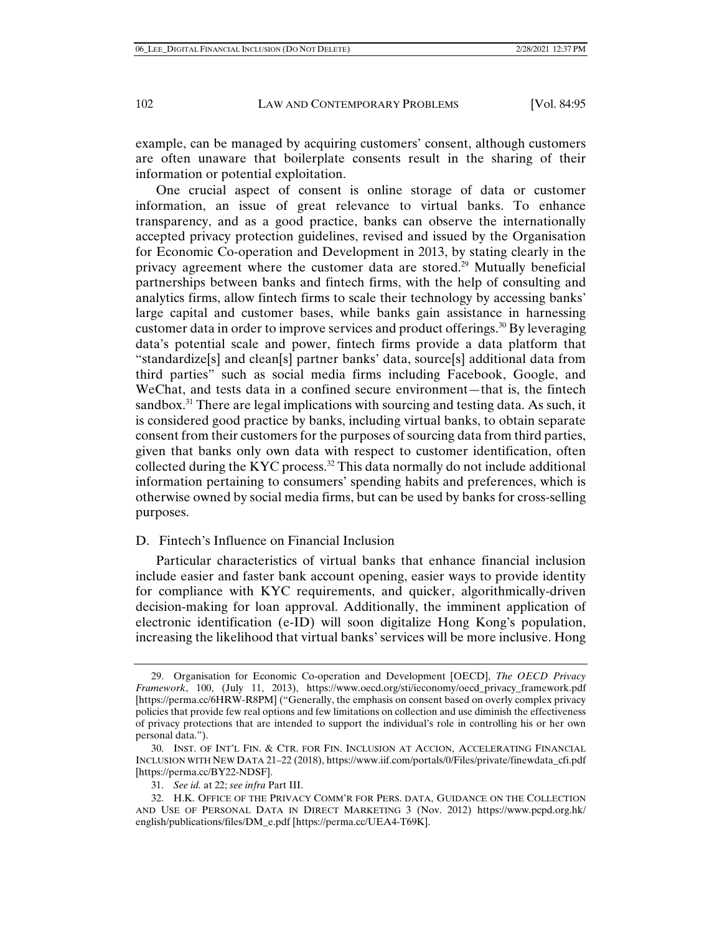example, can be managed by acquiring customers' consent, although customers are often unaware that boilerplate consents result in the sharing of their information or potential exploitation.

One crucial aspect of consent is online storage of data or customer information, an issue of great relevance to virtual banks. To enhance transparency, and as a good practice, banks can observe the internationally accepted privacy protection guidelines, revised and issued by the Organisation for Economic Co-operation and Development in 2013, by stating clearly in the privacy agreement where the customer data are stored.<sup>29</sup> Mutually beneficial partnerships between banks and fintech firms, with the help of consulting and analytics firms, allow fintech firms to scale their technology by accessing banks' large capital and customer bases, while banks gain assistance in harnessing customer data in order to improve services and product offerings.30 By leveraging data's potential scale and power, fintech firms provide a data platform that "standardize[s] and clean[s] partner banks' data, source[s] additional data from third parties" such as social media firms including Facebook, Google, and WeChat, and tests data in a confined secure environment—that is, the fintech sandbox. $31$  There are legal implications with sourcing and testing data. As such, it is considered good practice by banks, including virtual banks, to obtain separate consent from their customers for the purposes of sourcing data from third parties, given that banks only own data with respect to customer identification, often collected during the KYC process.32 This data normally do not include additional information pertaining to consumers' spending habits and preferences, which is otherwise owned by social media firms, but can be used by banks for cross-selling purposes.

## D. Fintech's Influence on Financial Inclusion

Particular characteristics of virtual banks that enhance financial inclusion include easier and faster bank account opening, easier ways to provide identity for compliance with KYC requirements, and quicker, algorithmically-driven decision-making for loan approval. Additionally, the imminent application of electronic identification (e-ID) will soon digitalize Hong Kong's population, increasing the likelihood that virtual banks' services will be more inclusive. Hong

 <sup>29.</sup> Organisation for Economic Co-operation and Development [OECD], *The OECD Privacy Framework*, 100, (July 11, 2013), https://www.oecd.org/sti/ieconomy/oecd\_privacy\_framework.pdf [https://perma.cc/6HRW-R8PM] ("Generally, the emphasis on consent based on overly complex privacy policies that provide few real options and few limitations on collection and use diminish the effectiveness of privacy protections that are intended to support the individual's role in controlling his or her own personal data.").

 <sup>30.</sup> INST. OF INT'L FIN. & CTR. FOR FIN. INCLUSION AT ACCION, ACCELERATING FINANCIAL INCLUSION WITH NEW DATA 21–22 (2018), https://www.iif.com/portals/0/Files/private/finewdata\_cfi.pdf [https://perma.cc/BY22-NDSF].

 <sup>31.</sup> *See id.* at 22; *see infra* Part III.

 <sup>32.</sup> H.K. OFFICE OF THE PRIVACY COMM'R FOR PERS. DATA, GUIDANCE ON THE COLLECTION AND USE OF PERSONAL DATA IN DIRECT MARKETING 3 (Nov. 2012) https://www.pcpd.org.hk/ english/publications/files/DM\_e.pdf [https://perma.cc/UEA4-T69K].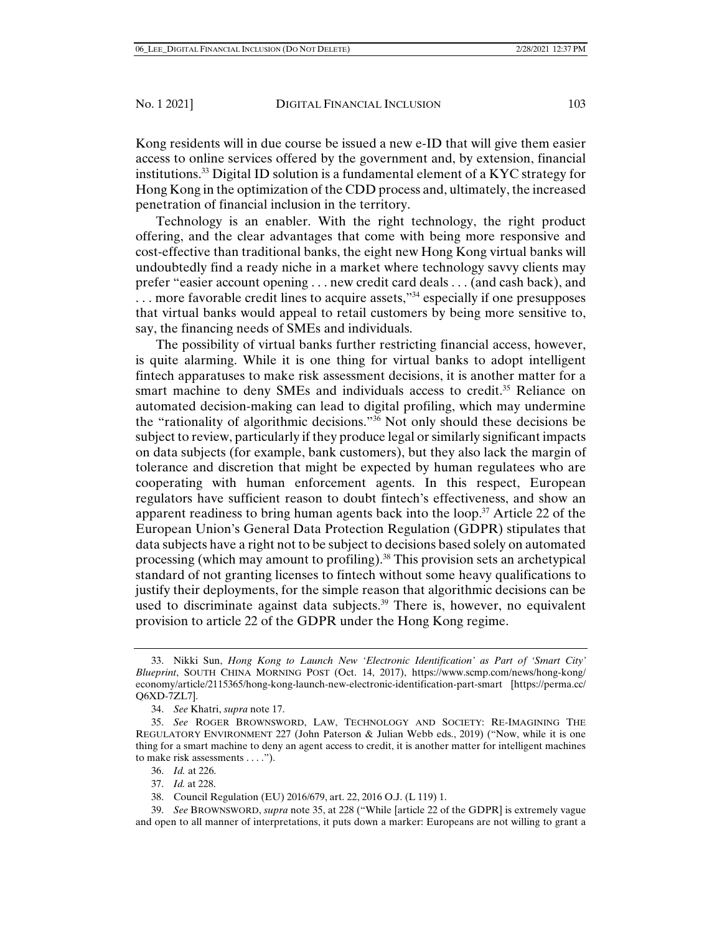Kong residents will in due course be issued a new e-ID that will give them easier access to online services offered by the government and, by extension, financial institutions.<sup>33</sup> Digital ID solution is a fundamental element of a KYC strategy for Hong Kong in the optimization of the CDD process and, ultimately, the increased penetration of financial inclusion in the territory.

Technology is an enabler. With the right technology, the right product offering, and the clear advantages that come with being more responsive and cost-effective than traditional banks, the eight new Hong Kong virtual banks will undoubtedly find a ready niche in a market where technology savvy clients may prefer "easier account opening . . . new credit card deals . . . (and cash back), and ... more favorable credit lines to acquire assets,"<sup>34</sup> especially if one presupposes that virtual banks would appeal to retail customers by being more sensitive to, say, the financing needs of SMEs and individuals.

The possibility of virtual banks further restricting financial access, however, is quite alarming. While it is one thing for virtual banks to adopt intelligent fintech apparatuses to make risk assessment decisions, it is another matter for a smart machine to deny SMEs and individuals access to credit.<sup>35</sup> Reliance on automated decision-making can lead to digital profiling, which may undermine the "rationality of algorithmic decisions."36 Not only should these decisions be subject to review, particularly if they produce legal or similarly significant impacts on data subjects (for example, bank customers), but they also lack the margin of tolerance and discretion that might be expected by human regulatees who are cooperating with human enforcement agents. In this respect, European regulators have sufficient reason to doubt fintech's effectiveness, and show an apparent readiness to bring human agents back into the loop.<sup>37</sup> Article 22 of the European Union's General Data Protection Regulation (GDPR) stipulates that data subjects have a right not to be subject to decisions based solely on automated processing (which may amount to profiling).38 This provision sets an archetypical standard of not granting licenses to fintech without some heavy qualifications to justify their deployments, for the simple reason that algorithmic decisions can be used to discriminate against data subjects.<sup>39</sup> There is, however, no equivalent provision to article 22 of the GDPR under the Hong Kong regime.

- 36. *Id.* at 226.
- 37. *Id.* at 228.
- 38. Council Regulation (EU) 2016/679, art. 22, 2016 O.J. (L 119) 1.

 39. *See* BROWNSWORD, *supra* note 35, at 228 ("While [article 22 of the GDPR] is extremely vague and open to all manner of interpretations, it puts down a marker: Europeans are not willing to grant a

 <sup>33.</sup> Nikki Sun, *Hong Kong to Launch New 'Electronic Identification' as Part of 'Smart City' Blueprint*, SOUTH CHINA MORNING POST (Oct. 14, 2017), https://www.scmp.com/news/hong-kong/ economy/article/2115365/hong-kong-launch-new-electronic-identification-part-smart [https://perma.cc/ Q6XD-7ZL7].

 <sup>34.</sup> *See* Khatri, *supra* note 17.

 <sup>35.</sup> *See* ROGER BROWNSWORD, LAW, TECHNOLOGY AND SOCIETY: RE-IMAGINING THE REGULATORY ENVIRONMENT 227 (John Paterson & Julian Webb eds., 2019) ("Now, while it is one thing for a smart machine to deny an agent access to credit, it is another matter for intelligent machines to make risk assessments . . . .").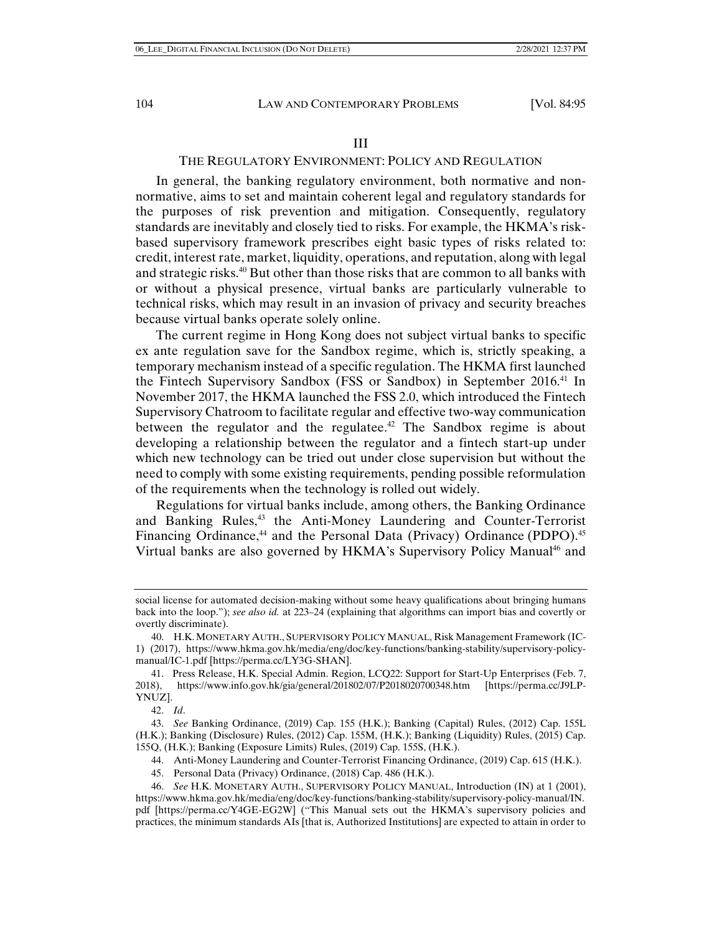# THE REGULATORY ENVIRONMENT: POLICY AND REGULATION

In general, the banking regulatory environment, both normative and nonnormative, aims to set and maintain coherent legal and regulatory standards for the purposes of risk prevention and mitigation. Consequently, regulatory standards are inevitably and closely tied to risks. For example, the HKMA's riskbased supervisory framework prescribes eight basic types of risks related to: credit, interest rate, market, liquidity, operations, and reputation, along with legal and strategic risks.40 But other than those risks that are common to all banks with or without a physical presence, virtual banks are particularly vulnerable to technical risks, which may result in an invasion of privacy and security breaches because virtual banks operate solely online.

The current regime in Hong Kong does not subject virtual banks to specific ex ante regulation save for the Sandbox regime, which is, strictly speaking, a temporary mechanism instead of a specific regulation. The HKMA first launched the Fintech Supervisory Sandbox (FSS or Sandbox) in September 2016.41 In November 2017, the HKMA launched the FSS 2.0, which introduced the Fintech Supervisory Chatroom to facilitate regular and effective two-way communication between the regulator and the regulate  $e^{42}$ . The Sandbox regime is about developing a relationship between the regulator and a fintech start-up under which new technology can be tried out under close supervision but without the need to comply with some existing requirements, pending possible reformulation of the requirements when the technology is rolled out widely.

Regulations for virtual banks include, among others, the Banking Ordinance and Banking Rules,<sup>43</sup> the Anti-Money Laundering and Counter-Terrorist Financing Ordinance,<sup>44</sup> and the Personal Data (Privacy) Ordinance (PDPO).<sup>45</sup> Virtual banks are also governed by HKMA's Supervisory Policy Manual<sup>46</sup> and

42. *Id*.

 43. *See* Banking Ordinance, (2019) Cap. 155 (H.K.); Banking (Capital) Rules, (2012) Cap. 155L (H.K.); Banking (Disclosure) Rules, (2012) Cap. 155M, (H.K.); Banking (Liquidity) Rules, (2015) Cap. 155Q, (H.K.); Banking (Exposure Limits) Rules, (2019) Cap. 155S, (H.K.).

44. Anti-Money Laundering and Counter-Terrorist Financing Ordinance, (2019) Cap. 615 (H.K.).

45. Personal Data (Privacy) Ordinance, (2018) Cap. 486 (H.K.).

social license for automated decision-making without some heavy qualifications about bringing humans back into the loop."); *see also id.* at 223–24 (explaining that algorithms can import bias and covertly or overtly discriminate).

 <sup>40.</sup> H.K.MONETARY AUTH., SUPERVISORY POLICY MANUAL, Risk Management Framework (IC-1) (2017), https://www.hkma.gov.hk/media/eng/doc/key-functions/banking-stability/supervisory-policymanual/IC-1.pdf [https://perma.cc/LY3G-SHAN].

<sup>41.</sup> Press Release, H.K. Special Admin. Region, LCQ22: Support for Start-Up Enterprises (Feb. 7, 2018), https://www.info.gov.hk/gia/general/201802/07/P2018020700348.htm [https://perma.cc/J9LP-YNUZ].

 <sup>46.</sup> *See* H.K. MONETARY AUTH., SUPERVISORY POLICY MANUAL, Introduction (IN) at 1 (2001), https://www.hkma.gov.hk/media/eng/doc/key-functions/banking-stability/supervisory-policy-manual/IN. pdf [https://perma.cc/Y4GE-EG2W] ("This Manual sets out the HKMA's supervisory policies and practices, the minimum standards AIs [that is, Authorized Institutions] are expected to attain in order to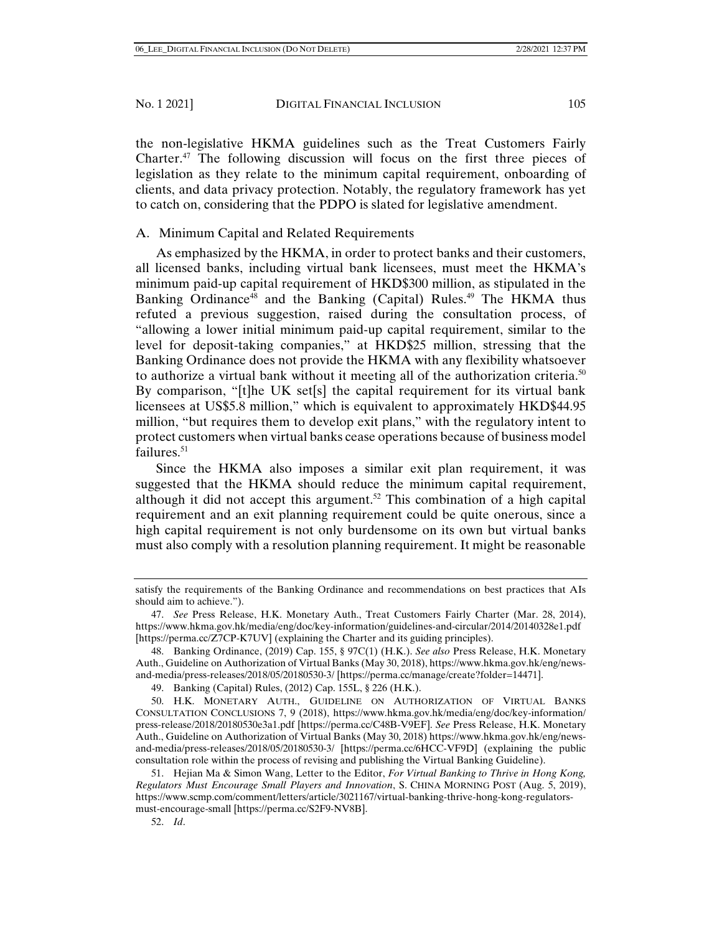the non-legislative HKMA guidelines such as the Treat Customers Fairly Charter.47 The following discussion will focus on the first three pieces of legislation as they relate to the minimum capital requirement, onboarding of clients, and data privacy protection. Notably, the regulatory framework has yet to catch on, considering that the PDPO is slated for legislative amendment.

# A. Minimum Capital and Related Requirements

As emphasized by the HKMA, in order to protect banks and their customers, all licensed banks, including virtual bank licensees, must meet the HKMA's minimum paid-up capital requirement of HKD\$300 million, as stipulated in the Banking Ordinance<sup>48</sup> and the Banking (Capital) Rules.<sup>49</sup> The HKMA thus refuted a previous suggestion, raised during the consultation process, of "allowing a lower initial minimum paid-up capital requirement, similar to the level for deposit-taking companies," at HKD\$25 million, stressing that the Banking Ordinance does not provide the HKMA with any flexibility whatsoever to authorize a virtual bank without it meeting all of the authorization criteria.<sup>50</sup> By comparison, "[t]he UK set[s] the capital requirement for its virtual bank licensees at US\$5.8 million," which is equivalent to approximately HKD\$44.95 million, "but requires them to develop exit plans," with the regulatory intent to protect customers when virtual banks cease operations because of business model failures. $51$ 

Since the HKMA also imposes a similar exit plan requirement, it was suggested that the HKMA should reduce the minimum capital requirement, although it did not accept this argument.<sup>52</sup> This combination of a high capital requirement and an exit planning requirement could be quite onerous, since a high capital requirement is not only burdensome on its own but virtual banks must also comply with a resolution planning requirement. It might be reasonable

52. *Id*.

satisfy the requirements of the Banking Ordinance and recommendations on best practices that AIs should aim to achieve.").

 <sup>47.</sup> *See* Press Release, H.K. Monetary Auth., Treat Customers Fairly Charter (Mar. 28, 2014), https://www.hkma.gov.hk/media/eng/doc/key-information/guidelines-and-circular/2014/20140328e1.pdf [https://perma.cc/Z7CP-K7UV] (explaining the Charter and its guiding principles).

 <sup>48.</sup> Banking Ordinance, (2019) Cap. 155, § 97C(1) (H.K.). *See also* Press Release, H.K. Monetary Auth., Guideline on Authorization of Virtual Banks (May 30, 2018), https://www.hkma.gov.hk/eng/newsand-media/press-releases/2018/05/20180530-3/ [https://perma.cc/manage/create?folder=14471].

 <sup>49.</sup> Banking (Capital) Rules, (2012) Cap. 155L, § 226 (H.K.).

 <sup>50.</sup> H.K. MONETARY AUTH., GUIDELINE ON AUTHORIZATION OF VIRTUAL BANKS CONSULTATION CONCLUSIONS 7, 9 (2018), https://www.hkma.gov.hk/media/eng/doc/key-information/ press-release/2018/20180530e3a1.pdf [https://perma.cc/C48B-V9EF]. *See* Press Release, H.K. Monetary Auth., Guideline on Authorization of Virtual Banks (May 30, 2018) https://www.hkma.gov.hk/eng/newsand-media/press-releases/2018/05/20180530-3/ [https://perma.cc/6HCC-VF9D] (explaining the public consultation role within the process of revising and publishing the Virtual Banking Guideline).

 <sup>51.</sup> Hejian Ma & Simon Wang, Letter to the Editor, *For Virtual Banking to Thrive in Hong Kong, Regulators Must Encourage Small Players and Innovation*, S. CHINA MORNING POST (Aug. 5, 2019), https://www.scmp.com/comment/letters/article/3021167/virtual-banking-thrive-hong-kong-regulatorsmust-encourage-small [https://perma.cc/S2F9-NV8B].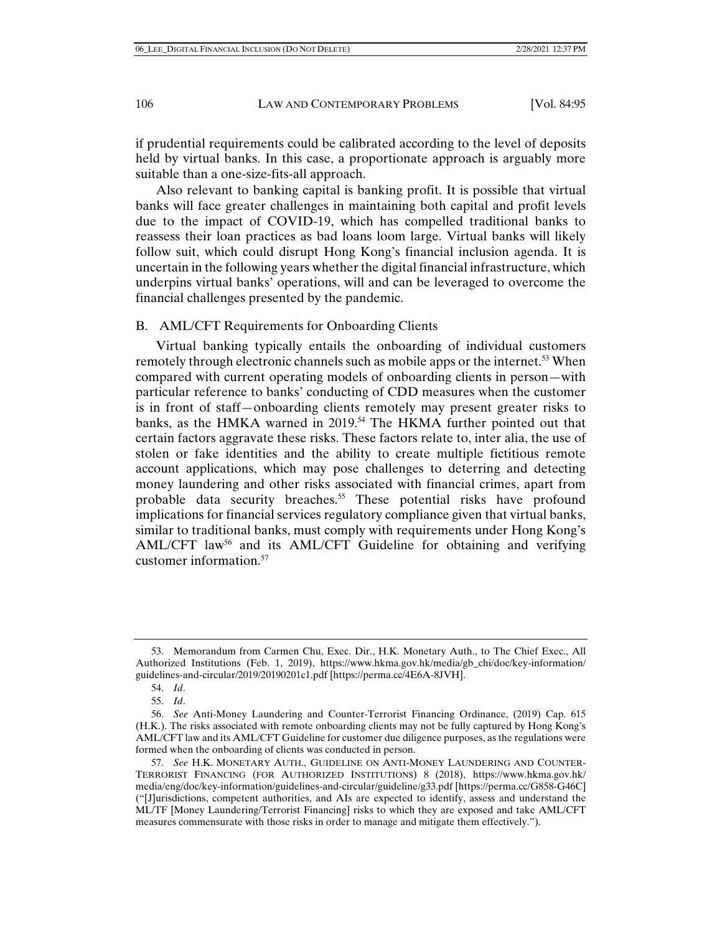if prudential requirements could be calibrated according to the level of deposits held by virtual banks. In this case, a proportionate approach is arguably more suitable than a one-size-fits-all approach.

Also relevant to banking capital is banking profit. It is possible that virtual banks will face greater challenges in maintaining both capital and profit levels due to the impact of COVID-19, which has compelled traditional banks to reassess their loan practices as bad loans loom large. Virtual banks will likely follow suit, which could disrupt Hong Kong's financial inclusion agenda. It is uncertain in the following years whether the digital financial infrastructure, which underpins virtual banks' operations, will and can be leveraged to overcome the financial challenges presented by the pandemic.

## B. AML/CFT Requirements for Onboarding Clients

Virtual banking typically entails the onboarding of individual customers remotely through electronic channels such as mobile apps or the internet.<sup>53</sup> When compared with current operating models of onboarding clients in person—with particular reference to banks' conducting of CDD measures when the customer is in front of staff—onboarding clients remotely may present greater risks to banks, as the HMKA warned in 2019.<sup>54</sup> The HKMA further pointed out that certain factors aggravate these risks. These factors relate to, inter alia, the use of stolen or fake identities and the ability to create multiple fictitious remote account applications, which may pose challenges to deterring and detecting money laundering and other risks associated with financial crimes, apart from probable data security breaches.<sup>55</sup> These potential risks have profound implications for financial services regulatory compliance given that virtual banks, similar to traditional banks, must comply with requirements under Hong Kong's AML/CFT law<sup>56</sup> and its AML/CFT Guideline for obtaining and verifying customer information.57

 <sup>53.</sup> Memorandum from Carmen Chu, Exec. Dir., H.K. Monetary Auth., to The Chief Exec., All Authorized Institutions (Feb. 1, 2019), https://www.hkma.gov.hk/media/gb\_chi/doc/key-information/ guidelines-and-circular/2019/20190201c1.pdf [https://perma.cc/4E6A-8JVH].

 <sup>54.</sup> *Id*.

 <sup>55.</sup> *Id*.

 <sup>56.</sup> *See* Anti-Money Laundering and Counter-Terrorist Financing Ordinance, (2019) Cap. 615 (H.K.). The risks associated with remote onboarding clients may not be fully captured by Hong Kong's AML/CFT law and its AML/CFT Guideline for customer due diligence purposes, as the regulations were formed when the onboarding of clients was conducted in person.

 <sup>57.</sup> *See* H.K. MONETARY AUTH., GUIDELINE ON ANTI-MONEY LAUNDERING AND COUNTER-TERRORIST FINANCING (FOR AUTHORIZED INSTITUTIONS) 8 (2018), https://www.hkma.gov.hk/ media/eng/doc/key-information/guidelines-and-circular/guideline/g33.pdf [https://perma.cc/G858-G46C] ("[J]urisdictions, competent authorities, and AIs are expected to identify, assess and understand the ML/TF [Money Laundering/Terrorist Financing] risks to which they are exposed and take AML/CFT measures commensurate with those risks in order to manage and mitigate them effectively.").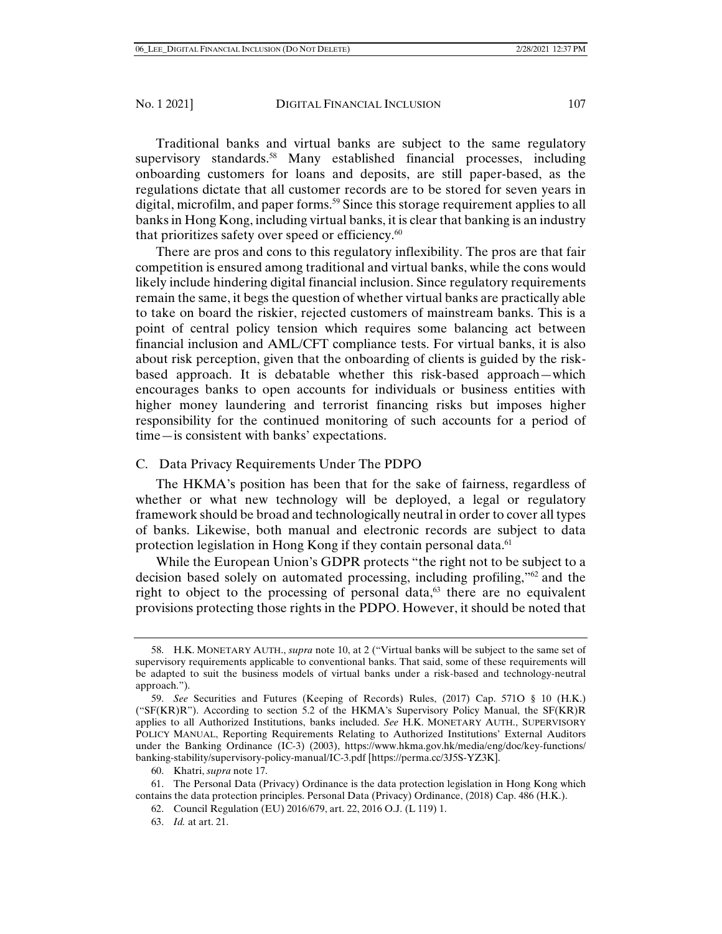Traditional banks and virtual banks are subject to the same regulatory supervisory standards.<sup>58</sup> Many established financial processes, including onboarding customers for loans and deposits, are still paper-based, as the regulations dictate that all customer records are to be stored for seven years in digital, microfilm, and paper forms.<sup>59</sup> Since this storage requirement applies to all banks in Hong Kong, including virtual banks, it is clear that banking is an industry that prioritizes safety over speed or efficiency.<sup>60</sup>

There are pros and cons to this regulatory inflexibility. The pros are that fair competition is ensured among traditional and virtual banks, while the cons would likely include hindering digital financial inclusion. Since regulatory requirements remain the same, it begs the question of whether virtual banks are practically able to take on board the riskier, rejected customers of mainstream banks. This is a point of central policy tension which requires some balancing act between financial inclusion and AML/CFT compliance tests. For virtual banks, it is also about risk perception, given that the onboarding of clients is guided by the riskbased approach. It is debatable whether this risk-based approach—which encourages banks to open accounts for individuals or business entities with higher money laundering and terrorist financing risks but imposes higher responsibility for the continued monitoring of such accounts for a period of time—is consistent with banks' expectations.

# C. Data Privacy Requirements Under The PDPO

The HKMA's position has been that for the sake of fairness, regardless of whether or what new technology will be deployed, a legal or regulatory framework should be broad and technologically neutral in order to cover all types of banks. Likewise, both manual and electronic records are subject to data protection legislation in Hong Kong if they contain personal data.<sup>61</sup>

While the European Union's GDPR protects "the right not to be subject to a decision based solely on automated processing, including profiling,"62 and the right to object to the processing of personal data, $63$  there are no equivalent provisions protecting those rights in the PDPO. However, it should be noted that

 <sup>58.</sup> H.K. MONETARY AUTH., *supra* note 10, at 2 ("Virtual banks will be subject to the same set of supervisory requirements applicable to conventional banks. That said, some of these requirements will be adapted to suit the business models of virtual banks under a risk-based and technology-neutral approach.").

 <sup>59.</sup> *See* Securities and Futures (Keeping of Records) Rules, (2017) Cap. 571O § 10 (H.K.) ("SF(KR)R"). According to section 5.2 of the HKMA's Supervisory Policy Manual, the SF(KR)R applies to all Authorized Institutions, banks included. *See* H.K. MONETARY AUTH., SUPERVISORY POLICY MANUAL, Reporting Requirements Relating to Authorized Institutions' External Auditors under the Banking Ordinance (IC-3) (2003), https://www.hkma.gov.hk/media/eng/doc/key-functions/ banking-stability/supervisory-policy-manual/IC-3.pdf [https://perma.cc/3J5S-YZ3K].

 <sup>60.</sup> Khatri, *supra* note 17.

 <sup>61.</sup> The Personal Data (Privacy) Ordinance is the data protection legislation in Hong Kong which contains the data protection principles. Personal Data (Privacy) Ordinance, (2018) Cap. 486 (H.K.).

 <sup>62.</sup> Council Regulation (EU) 2016/679, art. 22, 2016 O.J. (L 119) 1.

 <sup>63.</sup> *Id.* at art. 21.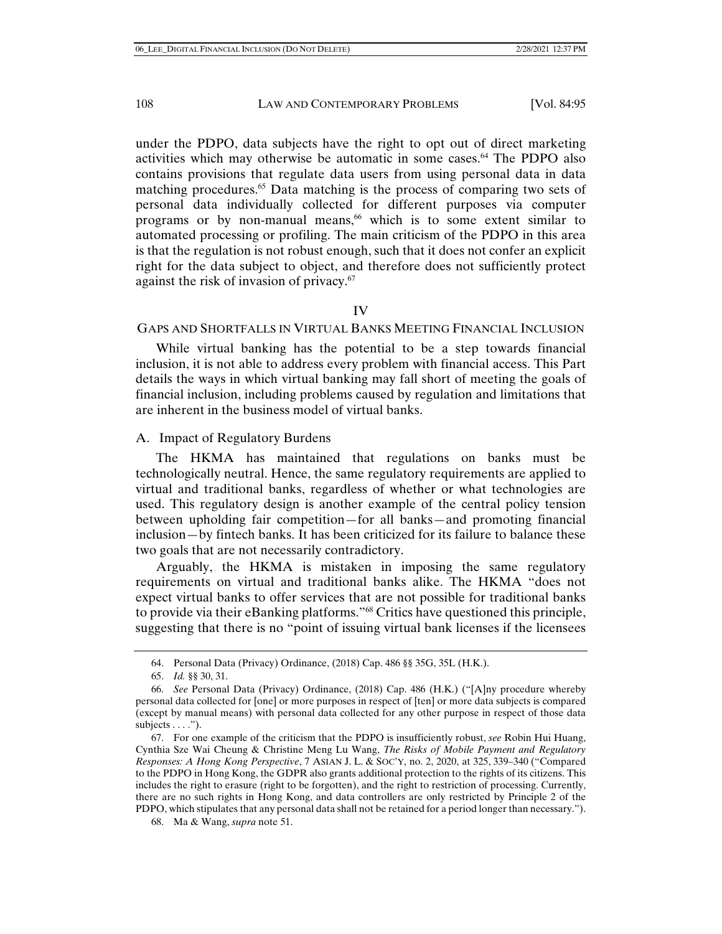under the PDPO, data subjects have the right to opt out of direct marketing activities which may otherwise be automatic in some cases.64 The PDPO also contains provisions that regulate data users from using personal data in data matching procedures.<sup>65</sup> Data matching is the process of comparing two sets of personal data individually collected for different purposes via computer programs or by non-manual means,<sup>66</sup> which is to some extent similar to automated processing or profiling. The main criticism of the PDPO in this area is that the regulation is not robust enough, such that it does not confer an explicit right for the data subject to object, and therefore does not sufficiently protect against the risk of invasion of privacy.<sup>67</sup>

# IV

#### GAPS AND SHORTFALLS IN VIRTUAL BANKS MEETING FINANCIAL INCLUSION

While virtual banking has the potential to be a step towards financial inclusion, it is not able to address every problem with financial access. This Part details the ways in which virtual banking may fall short of meeting the goals of financial inclusion, including problems caused by regulation and limitations that are inherent in the business model of virtual banks.

#### A. Impact of Regulatory Burdens

The HKMA has maintained that regulations on banks must be technologically neutral. Hence, the same regulatory requirements are applied to virtual and traditional banks, regardless of whether or what technologies are used. This regulatory design is another example of the central policy tension between upholding fair competition—for all banks—and promoting financial inclusion—by fintech banks. It has been criticized for its failure to balance these two goals that are not necessarily contradictory.

Arguably, the HKMA is mistaken in imposing the same regulatory requirements on virtual and traditional banks alike. The HKMA "does not expect virtual banks to offer services that are not possible for traditional banks to provide via their eBanking platforms."68 Critics have questioned this principle, suggesting that there is no "point of issuing virtual bank licenses if the licensees

68. Ma & Wang, *supra* note 51.

 <sup>64.</sup> Personal Data (Privacy) Ordinance, (2018) Cap. 486 §§ 35G, 35L (H.K.).

 <sup>65.</sup> *Id.* §§ 30, 31.

 <sup>66.</sup> *See* Personal Data (Privacy) Ordinance, (2018) Cap. 486 (H.K.) ("[A]ny procedure whereby personal data collected for [one] or more purposes in respect of [ten] or more data subjects is compared (except by manual means) with personal data collected for any other purpose in respect of those data subjects  $\dots$ .").

 <sup>67.</sup> For one example of the criticism that the PDPO is insufficiently robust, *see* Robin Hui Huang, Cynthia Sze Wai Cheung & Christine Meng Lu Wang, *The Risks of Mobile Payment and Regulatory Responses: A Hong Kong Perspective*, 7 ASIAN J. L. & SOC'Y, no. 2, 2020, at 325, 339–340 ("Compared to the PDPO in Hong Kong, the GDPR also grants additional protection to the rights of its citizens. This includes the right to erasure (right to be forgotten), and the right to restriction of processing. Currently, there are no such rights in Hong Kong, and data controllers are only restricted by Principle 2 of the PDPO, which stipulates that any personal data shall not be retained for a period longer than necessary.").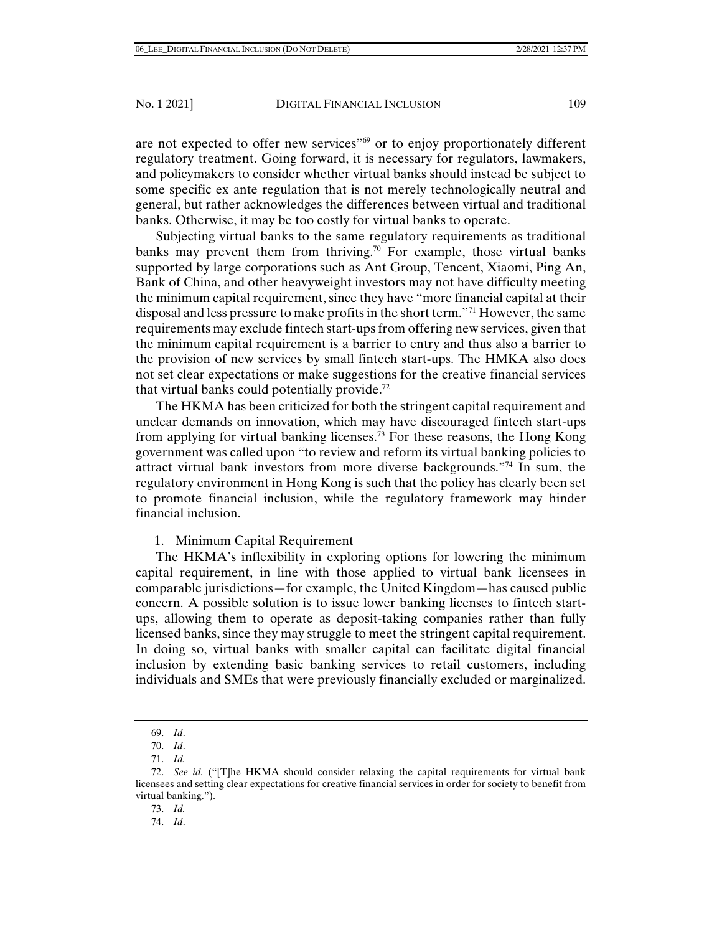are not expected to offer new services"69 or to enjoy proportionately different regulatory treatment. Going forward, it is necessary for regulators, lawmakers, and policymakers to consider whether virtual banks should instead be subject to some specific ex ante regulation that is not merely technologically neutral and general, but rather acknowledges the differences between virtual and traditional banks. Otherwise, it may be too costly for virtual banks to operate.

Subjecting virtual banks to the same regulatory requirements as traditional banks may prevent them from thriving.<sup>70</sup> For example, those virtual banks supported by large corporations such as Ant Group, Tencent, Xiaomi, Ping An, Bank of China, and other heavyweight investors may not have difficulty meeting the minimum capital requirement, since they have "more financial capital at their disposal and less pressure to make profits in the short term."71 However, the same requirements may exclude fintech start-ups from offering new services, given that the minimum capital requirement is a barrier to entry and thus also a barrier to the provision of new services by small fintech start-ups. The HMKA also does not set clear expectations or make suggestions for the creative financial services that virtual banks could potentially provide.<sup>72</sup>

The HKMA has been criticized for both the stringent capital requirement and unclear demands on innovation, which may have discouraged fintech start-ups from applying for virtual banking licenses.<sup>73</sup> For these reasons, the Hong Kong government was called upon "to review and reform its virtual banking policies to attract virtual bank investors from more diverse backgrounds."74 In sum, the regulatory environment in Hong Kong is such that the policy has clearly been set to promote financial inclusion, while the regulatory framework may hinder financial inclusion.

1. Minimum Capital Requirement

The HKMA's inflexibility in exploring options for lowering the minimum capital requirement, in line with those applied to virtual bank licensees in comparable jurisdictions—for example, the United Kingdom—has caused public concern. A possible solution is to issue lower banking licenses to fintech startups, allowing them to operate as deposit-taking companies rather than fully licensed banks, since they may struggle to meet the stringent capital requirement. In doing so, virtual banks with smaller capital can facilitate digital financial inclusion by extending basic banking services to retail customers, including individuals and SMEs that were previously financially excluded or marginalized.

 <sup>69.</sup> *Id*.

 <sup>70.</sup> *Id*.

 <sup>71.</sup> *Id.*

 <sup>72.</sup> *See id.* ("[T]he HKMA should consider relaxing the capital requirements for virtual bank licensees and setting clear expectations for creative financial services in order for society to benefit from virtual banking.").

 <sup>73.</sup> *Id.*

 <sup>74.</sup> *Id*.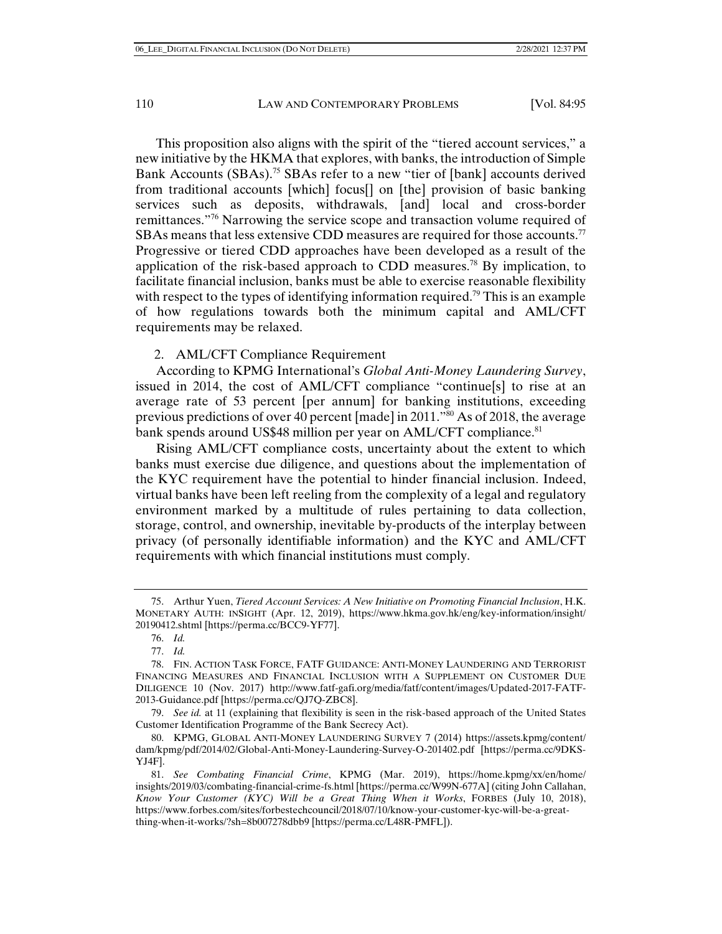This proposition also aligns with the spirit of the "tiered account services," a new initiative by the HKMA that explores, with banks, the introduction of Simple Bank Accounts (SBAs).<sup>75</sup> SBAs refer to a new "tier of [bank] accounts derived from traditional accounts [which] focus[] on [the] provision of basic banking services such as deposits, withdrawals, [and] local and cross-border remittances."76 Narrowing the service scope and transaction volume required of SBAs means that less extensive CDD measures are required for those accounts.<sup>77</sup> Progressive or tiered CDD approaches have been developed as a result of the application of the risk-based approach to CDD measures.<sup>78</sup> By implication, to facilitate financial inclusion, banks must be able to exercise reasonable flexibility with respect to the types of identifying information required.<sup>79</sup> This is an example of how regulations towards both the minimum capital and AML/CFT requirements may be relaxed.

#### 2. AML/CFT Compliance Requirement

According to KPMG International's *Global Anti-Money Laundering Survey*, issued in 2014, the cost of AML/CFT compliance "continue[s] to rise at an average rate of 53 percent [per annum] for banking institutions, exceeding previous predictions of over 40 percent [made] in 2011."80 As of 2018, the average bank spends around US\$48 million per year on AML/CFT compliance.<sup>81</sup>

Rising AML/CFT compliance costs, uncertainty about the extent to which banks must exercise due diligence, and questions about the implementation of the KYC requirement have the potential to hinder financial inclusion. Indeed, virtual banks have been left reeling from the complexity of a legal and regulatory environment marked by a multitude of rules pertaining to data collection, storage, control, and ownership, inevitable by-products of the interplay between privacy (of personally identifiable information) and the KYC and AML/CFT requirements with which financial institutions must comply.

 <sup>75.</sup> Arthur Yuen, *Tiered Account Services: A New Initiative on Promoting Financial Inclusion*, H.K. MONETARY AUTH: INSIGHT (Apr. 12, 2019), https://www.hkma.gov.hk/eng/key-information/insight/ 20190412.shtml [https://perma.cc/BCC9-YF77].

 <sup>76.</sup> *Id.*

 <sup>77.</sup> *Id.*

 <sup>78.</sup> FIN. ACTION TASK FORCE, FATF GUIDANCE: ANTI-MONEY LAUNDERING AND TERRORIST FINANCING MEASURES AND FINANCIAL INCLUSION WITH A SUPPLEMENT ON CUSTOMER DUE DILIGENCE 10 (Nov. 2017) http://www.fatf-gafi.org/media/fatf/content/images/Updated-2017-FATF-2013-Guidance.pdf [https://perma.cc/QJ7Q-ZBC8].

 <sup>79.</sup> *See id.* at 11 (explaining that flexibility is seen in the risk-based approach of the United States Customer Identification Programme of the Bank Secrecy Act).

 <sup>80.</sup> KPMG, GLOBAL ANTI-MONEY LAUNDERING SURVEY 7 (2014) https://assets.kpmg/content/ dam/kpmg/pdf/2014/02/Global-Anti-Money-Laundering-Survey-O-201402.pdf [https://perma.cc/9DKS-YJ4F].

 <sup>81.</sup> *See Combating Financial Crime*, KPMG (Mar. 2019), https://home.kpmg/xx/en/home/ insights/2019/03/combating-financial-crime-fs.html [https://perma.cc/W99N-677A] (citing John Callahan, *Know Your Customer (KYC) Will be a Great Thing When it Works*, FORBES (July 10, 2018), https://www.forbes.com/sites/forbestechcouncil/2018/07/10/know-your-customer-kyc-will-be-a-greatthing-when-it-works/?sh=8b007278dbb9 [https://perma.cc/L48R-PMFL]).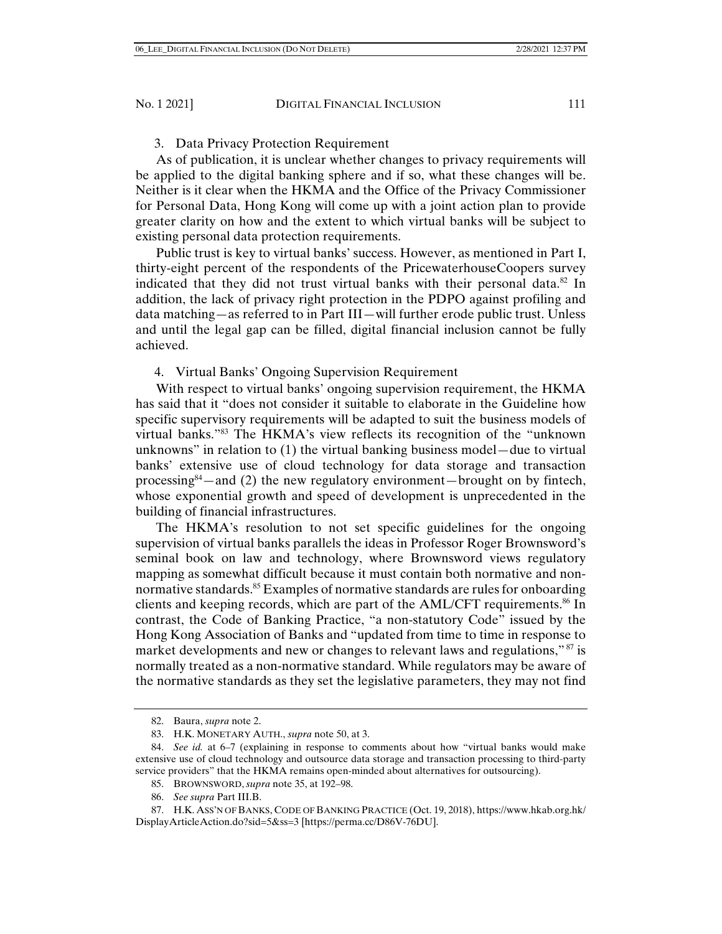# 3. Data Privacy Protection Requirement

As of publication, it is unclear whether changes to privacy requirements will be applied to the digital banking sphere and if so, what these changes will be. Neither is it clear when the HKMA and the Office of the Privacy Commissioner for Personal Data, Hong Kong will come up with a joint action plan to provide greater clarity on how and the extent to which virtual banks will be subject to existing personal data protection requirements.

Public trust is key to virtual banks' success. However, as mentioned in Part I, thirty-eight percent of the respondents of the PricewaterhouseCoopers survey indicated that they did not trust virtual banks with their personal data.<sup>82</sup> In addition, the lack of privacy right protection in the PDPO against profiling and data matching—as referred to in Part III—will further erode public trust. Unless and until the legal gap can be filled, digital financial inclusion cannot be fully achieved.

4. Virtual Banks' Ongoing Supervision Requirement

With respect to virtual banks' ongoing supervision requirement, the HKMA has said that it "does not consider it suitable to elaborate in the Guideline how specific supervisory requirements will be adapted to suit the business models of virtual banks."83 The HKMA's view reflects its recognition of the "unknown unknowns" in relation to (1) the virtual banking business model—due to virtual banks' extensive use of cloud technology for data storage and transaction processing<sup>84</sup>—and (2) the new regulatory environment—brought on by fintech, whose exponential growth and speed of development is unprecedented in the building of financial infrastructures.

The HKMA's resolution to not set specific guidelines for the ongoing supervision of virtual banks parallels the ideas in Professor Roger Brownsword's seminal book on law and technology, where Brownsword views regulatory mapping as somewhat difficult because it must contain both normative and nonnormative standards.<sup>85</sup> Examples of normative standards are rules for onboarding clients and keeping records, which are part of the AML/CFT requirements.86 In contrast, the Code of Banking Practice, "a non-statutory Code" issued by the Hong Kong Association of Banks and "updated from time to time in response to market developments and new or changes to relevant laws and regulations," <sup>87</sup> is normally treated as a non-normative standard. While regulators may be aware of the normative standards as they set the legislative parameters, they may not find

- 85. BROWNSWORD, *supra* note 35, at 192–98.
- 86. *See supra* Part III.B.

 <sup>82.</sup> Baura, *supra* note 2.

 <sup>83.</sup> H.K. MONETARY AUTH., *supra* note 50, at 3.

 <sup>84.</sup> *See id.* at 6–7 (explaining in response to comments about how "virtual banks would make extensive use of cloud technology and outsource data storage and transaction processing to third-party service providers" that the HKMA remains open-minded about alternatives for outsourcing).

 <sup>87.</sup> H.K. ASS'N OF BANKS, CODE OF BANKING PRACTICE (Oct. 19, 2018), https://www.hkab.org.hk/ DisplayArticleAction.do?sid=5&ss=3 [https://perma.cc/D86V-76DU].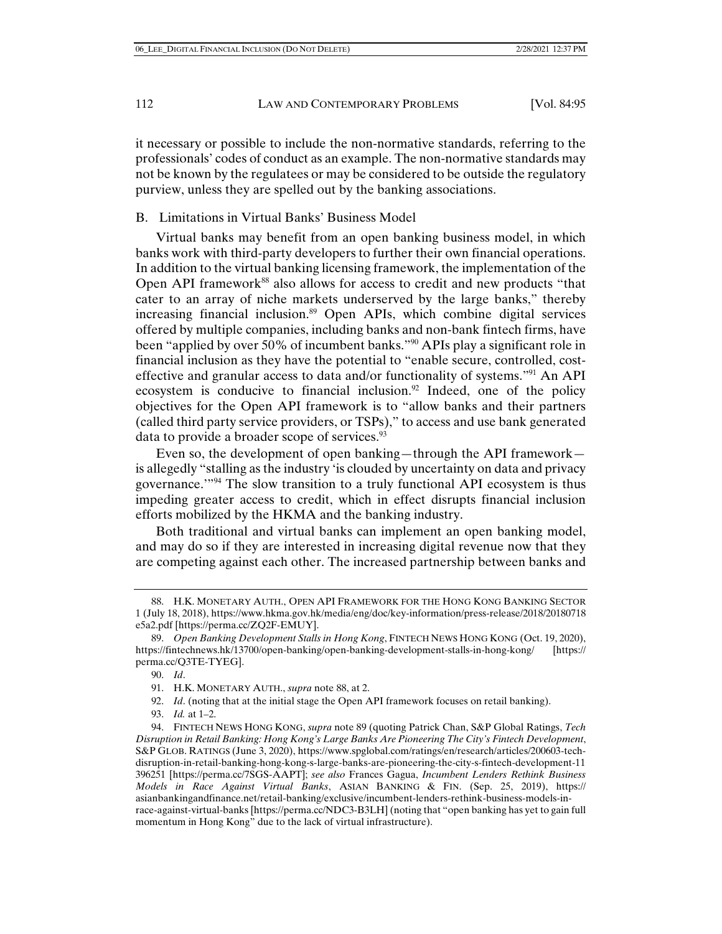it necessary or possible to include the non-normative standards, referring to the professionals' codes of conduct as an example. The non-normative standards may not be known by the regulatees or may be considered to be outside the regulatory purview, unless they are spelled out by the banking associations.

# B. Limitations in Virtual Banks' Business Model

Virtual banks may benefit from an open banking business model, in which banks work with third-party developers to further their own financial operations. In addition to the virtual banking licensing framework, the implementation of the Open API framework<sup>88</sup> also allows for access to credit and new products "that cater to an array of niche markets underserved by the large banks," thereby increasing financial inclusion.<sup>89</sup> Open APIs, which combine digital services offered by multiple companies, including banks and non-bank fintech firms, have been "applied by over 50% of incumbent banks."90 APIs play a significant role in financial inclusion as they have the potential to "enable secure, controlled, costeffective and granular access to data and/or functionality of systems."<sup>91</sup> An API ecosystem is conducive to financial inclusion.<sup>92</sup> Indeed, one of the policy objectives for the Open API framework is to "allow banks and their partners (called third party service providers, or TSPs)," to access and use bank generated data to provide a broader scope of services.<sup>93</sup>

Even so, the development of open banking—through the API framework is allegedly "stalling as the industry 'is clouded by uncertainty on data and privacy governance.'"94 The slow transition to a truly functional API ecosystem is thus impeding greater access to credit, which in effect disrupts financial inclusion efforts mobilized by the HKMA and the banking industry.

Both traditional and virtual banks can implement an open banking model, and may do so if they are interested in increasing digital revenue now that they are competing against each other. The increased partnership between banks and

93. *Id.* at 1–2.

 <sup>88.</sup> H.K. MONETARY AUTH., OPEN API FRAMEWORK FOR THE HONG KONG BANKING SECTOR 1 (July 18, 2018), https://www.hkma.gov.hk/media/eng/doc/key-information/press-release/2018/20180718 e5a2.pdf [https://perma.cc/ZQ2F-EMUY].

 <sup>89.</sup> *Open Banking Development Stalls in Hong Kong*, FINTECH NEWS HONG KONG (Oct. 19, 2020), https://fintechnews.hk/13700/open-banking/open-banking-development-stalls-in-hong-kong/ [https:// perma.cc/Q3TE-TYEG].

 <sup>90.</sup> *Id*.

 <sup>91.</sup> H.K. MONETARY AUTH., *supra* note 88, at 2.

 <sup>92.</sup> *Id*. (noting that at the initial stage the Open API framework focuses on retail banking).

 <sup>94.</sup> FINTECH NEWS HONG KONG, *supra* note 89 (quoting Patrick Chan, S&P Global Ratings, *Tech Disruption in Retail Banking: Hong Kong's Large Banks Are Pioneering The City's Fintech Development*, S&P GLOB. RATINGS (June 3, 2020), https://www.spglobal.com/ratings/en/research/articles/200603-techdisruption-in-retail-banking-hong-kong-s-large-banks-are-pioneering-the-city-s-fintech-development-11 396251 [https://perma.cc/7SGS-AAPT]; *see also* Frances Gagua, *Incumbent Lenders Rethink Business Models in Race Against Virtual Banks*, ASIAN BANKING & FIN. (Sep. 25, 2019), https:// asianbankingandfinance.net/retail-banking/exclusive/incumbent-lenders-rethink-business-models-inrace-against-virtual-banks [https://perma.cc/NDC3-B3LH] (noting that "open banking has yet to gain full momentum in Hong Kong" due to the lack of virtual infrastructure).